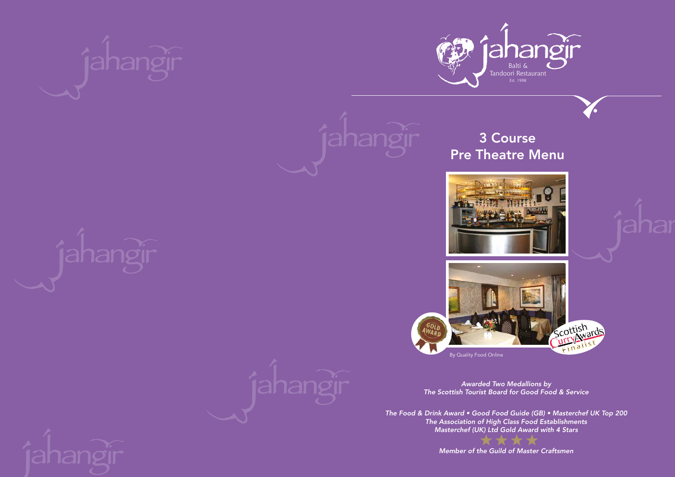By Quality Food Online







# 3 Course Pre Theatre Menu





la Balti & Tandoori Restaurant Est. 1998



*Awarded Two Medallions by The Scottish Tourist Board for Good Food & Service*

*The Food & Drink Award • Good Food Guide (GB) • Masterchef UK Top 200 The Association of High Class Food Establishments Masterchef (UK) Ltd Gold Award with 4 Stars*

*Member of the Guild of Master Craftsmen*